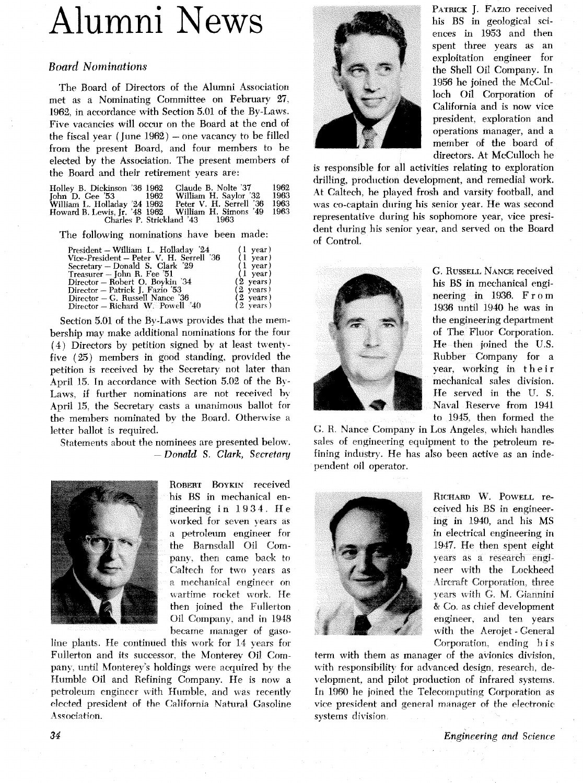# Alumni News

#### *Board Nominations*

The Board of Directors of the Alumni Association met as a Nominating Committee on February **27, 1962,** in accordance with Section **5.01** of the By-Laws. Five vacancies will occur on the Board at the end of the fiscal year (June 1962) - one vacancy to be filled from the present Board, and four members to be elected by the Association. The present members of the Board and their retirement years are:

| Holley B. Dickinson '36 1962                        |      | Claude B. Nolte '37     | 1962   |
|-----------------------------------------------------|------|-------------------------|--------|
| $John$ D. Gee $3$                                   | 1962 | William H. Saylor '32   | 1963   |
| William L. Holladay '24 1962                        |      | Peter V. H. Serrell '36 | 1963   |
| Howard B. Lewis, Jr. '48 1962 William H. Simons '49 |      |                         | - 1963 |
| Charles P. Strickland '43                           |      | - 1963                  |        |

The following nominations have been made:

| President – William L. Holladay '24          | $(1 \text{ year})$  |
|----------------------------------------------|---------------------|
| Vice-President – Peter V. H. Serrell '36     | $(1 \text{ year})$  |
| Secretary – Donald S. Clark '29              | $(1 \text{ year})$  |
| Treasurer – John R. Fee '51                  | $(1 \text{ year})$  |
| Director – Robert O. Boykin '34              | $(2 \text{ years})$ |
| Director – Patrick J. Fazio '53              | $(2 \text{ years})$ |
| Director - G. Russell Nance '36              | $(2 \text{ years})$ |
| Director – Richard W. Powell <sup>2</sup> 40 | $(2 \text{ years})$ |
|                                              |                     |

Section 5.01 of the By-Laws provides that the mernbership may make additional nominations for the four  $(4)$  Directors by petition signed by at least twentyfive (25) members in good standing, provided the petition is received by the Secretary not later than April 15. In accordance with Section 5.02 of the By-Laws, if further nominations are not received by April **15,** the Secretary casts a unanimous ballot for the members nominated by the Board. Otherwise a letter ballot is required.

Statements about the nominees are presented below. - Donald S. *Clark, Secretrq* 



ROBERT **BOYKIN** received his BS in mechanical engineering in **19 3 4. H** e worked for seven years as a petroleum engineer for the Barnsdall Oil Company, then came back to Caltech for two years as a mechanical engineer on wartime rocket work. He then joined the Fullerton Oil Company, and in **1948**  became manager of gaso-

line plants. He continued this work for 14 years for Fullerton and its successor, the Monterey Oil Compan), until Monterey's holdings were acquired hy the Humble Oil and Refining Company. He is now a petroleum cnginecr with Humble, and was recentiv elected president of the California Natural Gasoline Association.



PATRICK J. FAZIO received his BS in geological sciences in **1953** and then spent three years as an exploitation engineer for the Shell Oil Company. In **1956** he joined the McCulloch Oil Corporation of California and is now vice president, exploration and operations manager, and a member of the board of directors. At McCulloch he

is responsible for all activities relating to exploration drilling, production development, and remedial work. **At** Caltech, he played frosh and varsity football, and was co-captain during his senior year. He was second representative during his sophomore year, vice president during his senior year, and served on the Board of Control.



G. RUSSELL **NANCE** received his BS in mechanical engineering in **1936.** From **1936** until **1940** he was in the engineering department of The Fluor Corporation. He then joined the U.S. Rubber Company for a year, working in their mechanical sales division. He served in the **U.** S. Naval Reserve from **1941**  to **1945,** then formed the

G. R. Nance Company in Los Angeles. which handles sales of engineering equipment to the petroleum refining industry. He has also been active as an independent oil operator.



RICHARD W. POWELL received his BS in engineer*ing* in **1940,** and his *MS*  in electrical engineering in **1947.** He then spent eight years as a research engineer with the Lockheed Alircraft Corporation, three **<sup>J</sup>**ears à ith *G.* M. Giannini & Co. as chief development engineer, and ten years with the Aerojet - General Corporation, ending h is

term with them as manager of the avionics division, with responsibility for advanced design, research, de-\ eloprnent, and pilot production of infrared systems. In 1960 he joined the Telecomputing Corporation as vice president and general manager of the electronic systems division